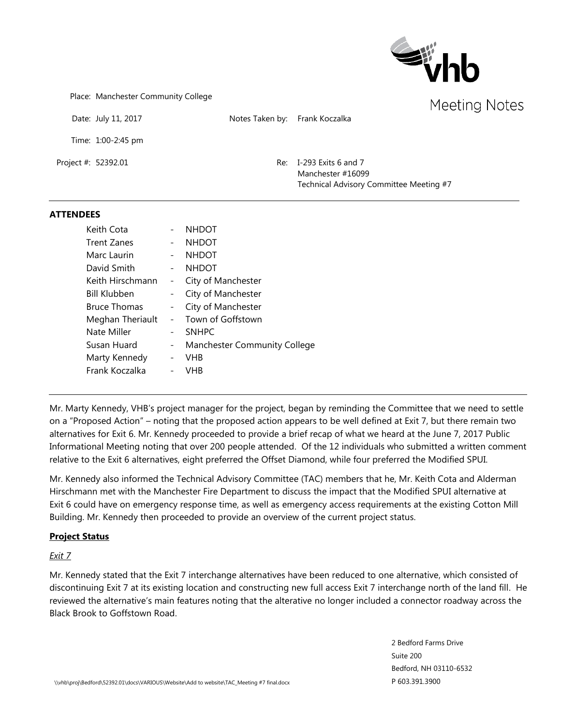

Place: Manchester Community College

Date: July 11, 2017 Notes Taken by: Frank Koczalka

Time: 1:00-2:45 pm

Project #: 52392.01 Re: I-293 Exits 6 and 7 Manchester #16099 Technical Advisory Committee Meeting #7

#### **ATTENDEES**

| Keith Cota          |                          | <b>NHDOT</b>                 |
|---------------------|--------------------------|------------------------------|
| <b>Trent Zanes</b>  |                          | <b>NHDOT</b>                 |
| Marc Laurin         |                          | <b>NHDOT</b>                 |
| David Smith         |                          | <b>NHDOT</b>                 |
| Keith Hirschmann    | $\blacksquare$           | City of Manchester           |
| <b>Bill Klubben</b> | $\blacksquare$           | City of Manchester           |
| <b>Bruce Thomas</b> | $\overline{\phantom{0}}$ | City of Manchester           |
| Meghan Theriault    |                          | Town of Goffstown            |
| Nate Miller         |                          | <b>SNHPC</b>                 |
| Susan Huard         | -                        | Manchester Community College |
| Marty Kennedy       | $\overline{\phantom{a}}$ | VHB                          |
| Frank Koczalka      |                          | VHB                          |

Mr. Marty Kennedy, VHB's project manager for the project, began by reminding the Committee that we need to settle on a "Proposed Action" – noting that the proposed action appears to be well defined at Exit 7, but there remain two alternatives for Exit 6. Mr. Kennedy proceeded to provide a brief recap of what we heard at the June 7, 2017 Public Informational Meeting noting that over 200 people attended. Of the 12 individuals who submitted a written comment relative to the Exit 6 alternatives, eight preferred the Offset Diamond, while four preferred the Modified SPUI.

Mr. Kennedy also informed the Technical Advisory Committee (TAC) members that he, Mr. Keith Cota and Alderman Hirschmann met with the Manchester Fire Department to discuss the impact that the Modified SPUI alternative at Exit 6 could have on emergency response time, as well as emergency access requirements at the existing Cotton Mill Building. Mr. Kennedy then proceeded to provide an overview of the current project status.

# **Project Status**

# *Exit 7*

Mr. Kennedy stated that the Exit 7 interchange alternatives have been reduced to one alternative, which consisted of discontinuing Exit 7 at its existing location and constructing new full access Exit 7 interchange north of the land fill. He reviewed the alternative's main features noting that the alterative no longer included a connector roadway across the Black Brook to Goffstown Road.

> 2 Bedford Farms Drive Suite 200 Bedford, NH 03110-6532 P 603.391.3900